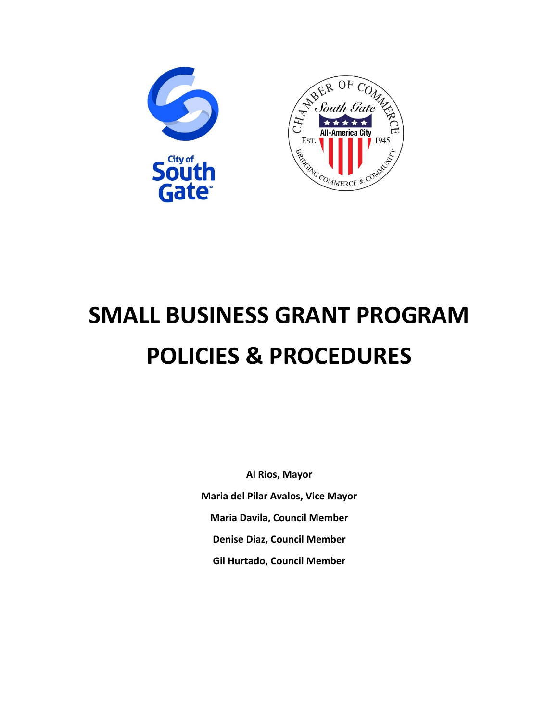

# **SMALL BUSINESS GRANT PROGRAM POLICIES & PROCEDURES**

**Al Rios, Mayor Maria del Pilar Avalos, Vice Mayor Maria Davila, Council Member Denise Diaz, Council Member Gil Hurtado, Council Member**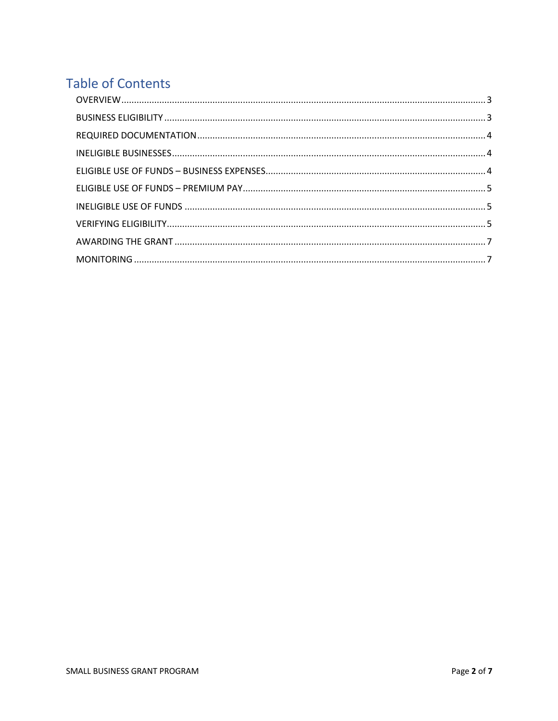# **Table of Contents**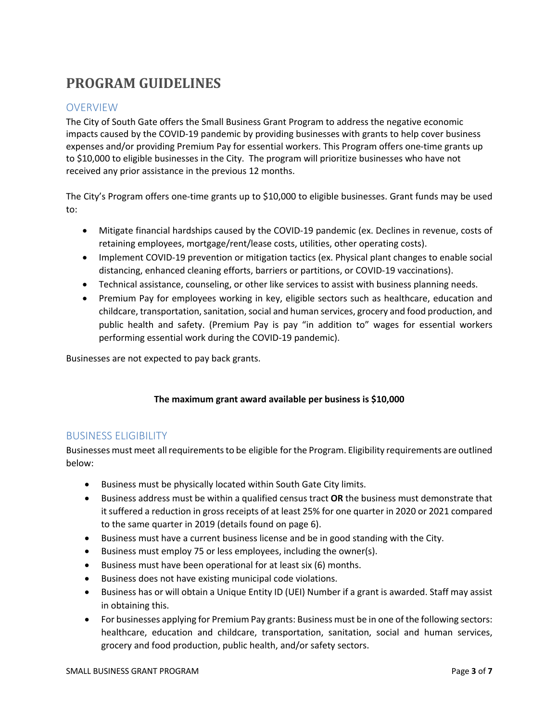# **PROGRAM GUIDELINES**

# **OVERVIEW**

The City of South Gate offers the Small Business Grant Program to address the negative economic impacts caused by the COVID-19 pandemic by providing businesses with grants to help cover business expenses and/or providing Premium Pay for essential workers. This Program offers one-time grants up to \$10,000 to eligible businesses in the City. The program will prioritize businesses who have not received any prior assistance in the previous 12 months.

The City's Program offers one-time grants up to \$10,000 to eligible businesses. Grant funds may be used to:

- Mitigate financial hardships caused by the COVID-19 pandemic (ex. Declines in revenue, costs of retaining employees, mortgage/rent/lease costs, utilities, other operating costs).
- Implement COVID-19 prevention or mitigation tactics (ex. Physical plant changes to enable social distancing, enhanced cleaning efforts, barriers or partitions, or COVID-19 vaccinations).
- Technical assistance, counseling, or other like services to assist with business planning needs.
- Premium Pay for employees working in key, eligible sectors such as healthcare, education and childcare, transportation, sanitation, social and human services, grocery and food production, and public health and safety. (Premium Pay is pay "in addition to" wages for essential workers performing essential work during the COVID-19 pandemic).

Businesses are not expected to pay back grants.

#### **The maximum grant award available per business is \$10,000**

#### BUSINESS ELIGIBILITY

Businesses must meet all requirements to be eligible for the Program. Eligibility requirements are outlined below:

- Business must be physically located within South Gate City limits.
- Business address must be within a qualified census tract **OR** the business must demonstrate that it suffered a reduction in gross receipts of at least 25% for one quarter in 2020 or 2021 compared to the same quarter in 2019 (details found on page 6).
- Business must have a current business license and be in good standing with the City.
- Business must employ 75 or less employees, including the owner(s).
- Business must have been operational for at least six (6) months.
- Business does not have existing municipal code violations.
- Business has or will obtain a Unique Entity ID (UEI) Number if a grant is awarded. Staff may assist in obtaining this.
- For businesses applying for Premium Pay grants: Business must be in one of the following sectors: healthcare, education and childcare, transportation, sanitation, social and human services, grocery and food production, public health, and/or safety sectors.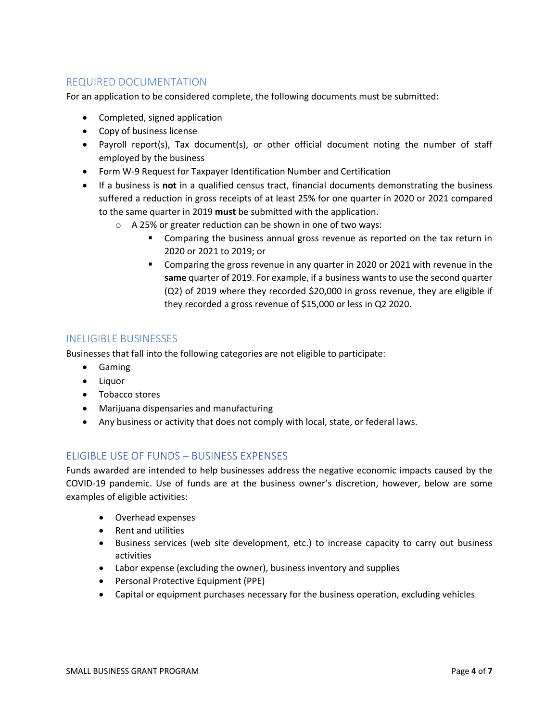## REQUIRED DOCUMENTATION

For an application to be considered complete, the following documents must be submitted:

- Completed, signed application
- Copy of business license
- Payroll report(s), Tax document(s), or other official document noting the number of staff employed by the business
- Form W-9 Request for Taxpayer Identification Number and Certification
- If a business is **not** in a qualified census tract, financial documents demonstrating the business suffered a reduction in gross receipts of at least 25% for one quarter in 2020 or 2021 compared to the same quarter in 2019 **must** be submitted with the application.
	- o A 25% or greater reduction can be shown in one of two ways:
		- ! Comparing the business annual gross revenue as reported on the tax return in 2020 or 2021 to 2019; or
		- ! Comparing the gross revenue in any quarter in 2020 or 2021 with revenue in the **same** quarter of 2019. For example, if a business wants to use the second quarter (Q2) of 2019 where they recorded \$20,000 in gross revenue, they are eligible if they recorded a gross revenue of \$15,000 or less in Q2 2020.

#### INELIGIBLE BUSINESSES

Businesses that fall into the following categories are not eligible to participate:

- Gaming
- Liquor
- Tobacco stores
- Marijuana dispensaries and manufacturing
- Any business or activity that does not comply with local, state, or federal laws.

## ELIGIBLE USE OF FUNDS – BUSINESS EXPENSES

Funds awarded are intended to help businesses address the negative economic impacts caused by the COVID-19 pandemic. Use of funds are at the business owner's discretion, however, below are some examples of eligible activities:

- Overhead expenses
- Rent and utilities
- Business services (web site development, etc.) to increase capacity to carry out business activities
- Labor expense (excluding the owner), business inventory and supplies
- Personal Protective Equipment (PPE)
- Capital or equipment purchases necessary for the business operation, excluding vehicles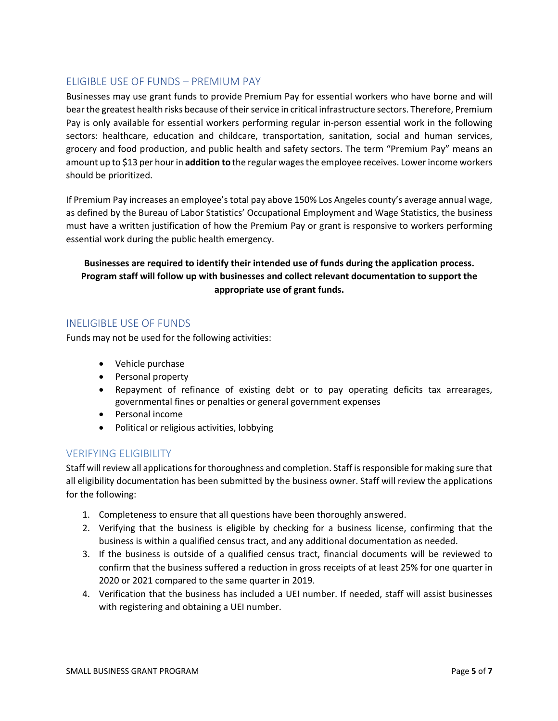#### ELIGIBLE USE OF FUNDS – PREMIUM PAY

Businesses may use grant funds to provide Premium Pay for essential workers who have borne and will bear the greatest health risks because of their service in critical infrastructure sectors. Therefore, Premium Pay is only available for essential workers performing regular in-person essential work in the following sectors: healthcare, education and childcare, transportation, sanitation, social and human services, grocery and food production, and public health and safety sectors. The term "Premium Pay" means an amount up to \$13 per hour in **addition to** the regular wages the employee receives. Lower income workers should be prioritized.

If Premium Pay increases an employee's total pay above 150% Los Angeles county's average annual wage, as defined by the Bureau of Labor Statistics' Occupational Employment and Wage Statistics, the business must have a written justification of how the Premium Pay or grant is responsive to workers performing essential work during the public health emergency.

## **Businesses are required to identify their intended use of funds during the application process. Program staff will follow up with businesses and collect relevant documentation to support the appropriate use of grant funds.**

#### INELIGIBLE USE OF FUNDS

Funds may not be used for the following activities:

- Vehicle purchase
- Personal property
- Repayment of refinance of existing debt or to pay operating deficits tax arrearages, governmental fines or penalties or general government expenses
- Personal income
- Political or religious activities, lobbying

#### VERIFYING ELIGIBILITY

Staff will review all applications for thoroughness and completion. Staff isresponsible for making sure that all eligibility documentation has been submitted by the business owner. Staff will review the applications for the following:

- 1. Completeness to ensure that all questions have been thoroughly answered.
- 2. Verifying that the business is eligible by checking for a business license, confirming that the business is within a qualified census tract, and any additional documentation as needed.
- 3. If the business is outside of a qualified census tract, financial documents will be reviewed to confirm that the business suffered a reduction in gross receipts of at least 25% for one quarter in 2020 or 2021 compared to the same quarter in 2019.
- 4. Verification that the business has included a UEI number. If needed, staff will assist businesses with registering and obtaining a UEI number.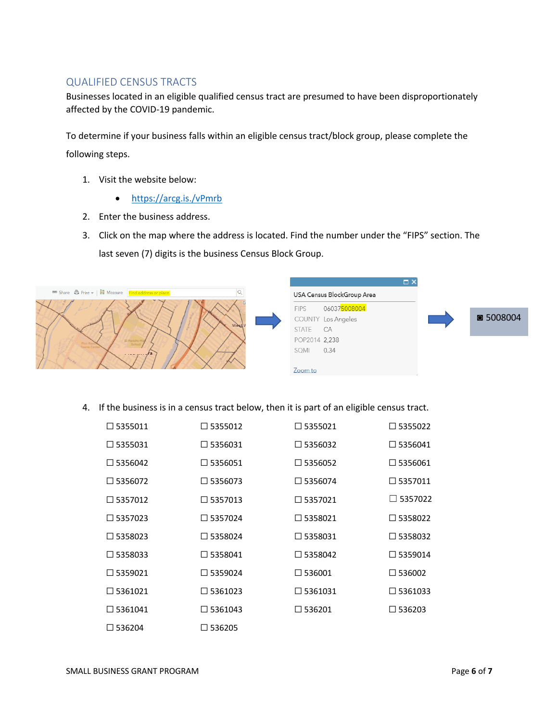#### QUALIFIED CENSUS TRACTS

Businesses located in an eligible qualified census tract are presumed to have been disproportionately affected by the COVID-19 pandemic.

To determine if your business falls within an eligible census tract/block group, please complete the following steps.

- 1. Visit the website below:
	- https://arcg.is./vPmrb
- 2. Enter the business address.
- 3. Click on the map where the address is located. Find the number under the "FIPS" section. The last seven (7) digits is the business Census Block Group.



4. If the business is in a census tract below, then it is part of an eligible census tract.

| $\square$ 5355011 | $\square$ 5355012 | $\Box$ 5355021    | $\Box$ 5355022    |
|-------------------|-------------------|-------------------|-------------------|
| $\Box$ 5355031    | $\square$ 5356031 | $\square$ 5356032 | $\Box$ 5356041    |
| $\Box$ 5356042    | $\Box$ 5356051    | $\Box$ 5356052    | $\Box$ 5356061    |
| $\Box$ 5356072    | $\square$ 5356073 | $\Box$ 5356074    | $\square$ 5357011 |
| $\Box$ 5357012    | $\Box$ 5357013    | $\Box$ 5357021    | $\Box$ 5357022    |
| $\Box$ 5357023    | $\Box$ 5357024    | $\square$ 5358021 | $\square$ 5358022 |
| $\Box$ 5358023    | $\Box$ 5358024    | □ 5358031         | □ 5358032         |
| $\square$ 5358033 | $\Box$ 5358041    | $\Box$ 5358042    | $\Box$ 5359014    |
| $\Box$ 5359021    | $\Box$ 5359024    | $\square$ 536001  | $\square$ 536002  |
| $\square$ 5361021 | $\square$ 5361023 | $\square$ 5361031 | $\square$ 5361033 |
| $\Box$ 5361041    | $\square$ 5361043 | $\square$ 536201  | $\square$ 536203  |
| $\square$ 536204  | $\square$ 536205  |                   |                   |